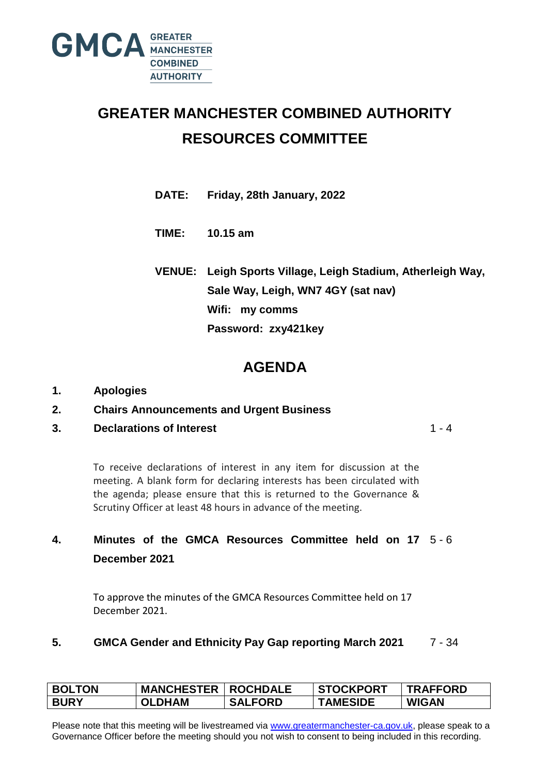

## **GREATER MANCHESTER COMBINED AUTHORITY RESOURCES COMMITTEE**

**DATE: Friday, 28th January, 2022**

**TIME: 10.15 am**

**VENUE: Leigh Sports Village, Leigh Stadium, Atherleigh Way, Sale Way, Leigh, WN7 4GY (sat nav) Wifi: my comms Password: zxy421key**

## **AGENDA**

- **1. Apologies**
- **2. Chairs Announcements and Urgent Business**
- **3. Declarations of Interest**

 $1 - 4$ 

To receive declarations of interest in any item for discussion at the meeting. A blank form for declaring interests has been circulated with the agenda; please ensure that this is returned to the Governance & Scrutiny Officer at least 48 hours in advance of the meeting.

## **4. Minutes of the GMCA Resources Committee held on 17** 5 - 6 **December 2021**

To approve the minutes of the GMCA Resources Committee held on 17 December 2021.

## **5. GMCA Gender and Ethnicity Pay Gap reporting March 2021** 7 - 34

| <b>BOLTON</b> | <b>MANCHESTER   ROCHDALE</b> |                | <b>STOCKPORT</b> | <b>TRAFFORD</b> |
|---------------|------------------------------|----------------|------------------|-----------------|
| <b>BURY</b>   | <b>OLDHAM</b>                | <b>SALFORD</b> | <b>TAMESIDE</b>  | <b>WIGAN</b>    |

Please note that this meeting will be livestreamed via [www.greatermanchester-ca.gov.uk,](http://www.greatermanchester-ca.gov.uk/) please speak to a Governance Officer before the meeting should you not wish to consent to being included in this recording.